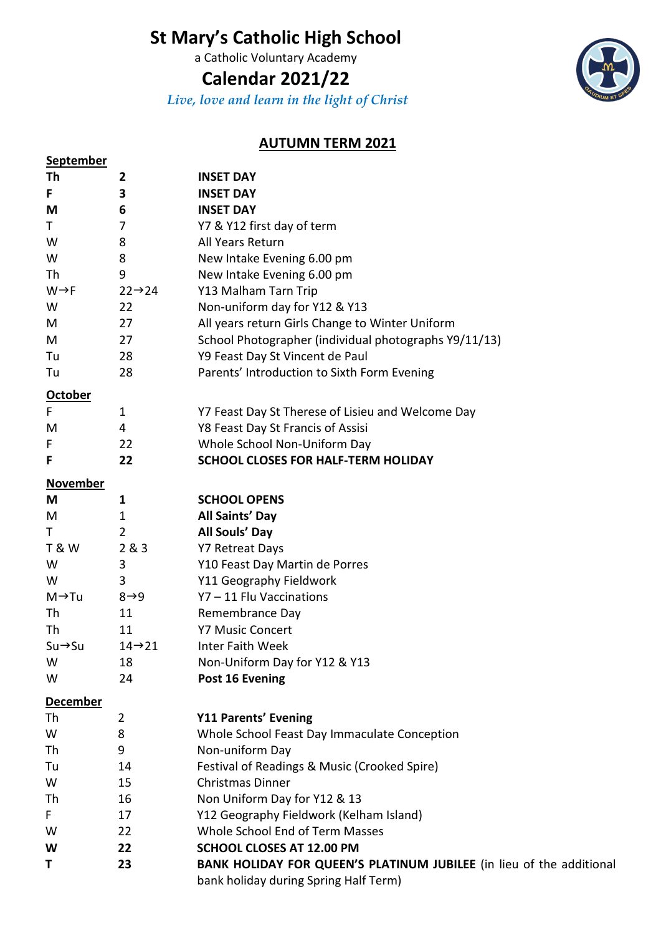# **St Mary's Catholic High School**

a Catholic Voluntary Academy

## **Calendar 2021/22**

*Live, love and learn in the light of Christ*



### **AUTUMN TERM 2021**

| <b>September</b>    |                     |                                                                                                                      |
|---------------------|---------------------|----------------------------------------------------------------------------------------------------------------------|
| Th                  | 2                   | <b>INSET DAY</b>                                                                                                     |
| F                   | 3                   | <b>INSET DAY</b>                                                                                                     |
| M                   | 6                   | <b>INSET DAY</b>                                                                                                     |
| Τ                   | 7                   | Y7 & Y12 first day of term                                                                                           |
| W                   | 8                   | All Years Return                                                                                                     |
| W                   | 8                   | New Intake Evening 6.00 pm                                                                                           |
| Th                  | 9                   | New Intake Evening 6.00 pm                                                                                           |
| $W \rightarrow F$   | $22 \rightarrow 24$ | Y13 Malham Tarn Trip                                                                                                 |
| W                   | 22                  | Non-uniform day for Y12 & Y13                                                                                        |
| M                   | 27                  | All years return Girls Change to Winter Uniform                                                                      |
| M                   | 27                  | School Photographer (individual photographs Y9/11/13)                                                                |
| Tu                  | 28                  | Y9 Feast Day St Vincent de Paul                                                                                      |
| Tu                  | 28                  | Parents' Introduction to Sixth Form Evening                                                                          |
| <b>October</b>      |                     |                                                                                                                      |
| F                   | 1                   | Y7 Feast Day St Therese of Lisieu and Welcome Day                                                                    |
| M                   | 4                   | Y8 Feast Day St Francis of Assisi                                                                                    |
| F                   | 22                  | Whole School Non-Uniform Day                                                                                         |
| F                   | 22                  | SCHOOL CLOSES FOR HALF-TERM HOLIDAY                                                                                  |
|                     |                     |                                                                                                                      |
| <b>November</b>     |                     |                                                                                                                      |
| M                   | $\mathbf{1}$        | <b>SCHOOL OPENS</b>                                                                                                  |
| M                   | $\mathbf 1$         | All Saints' Day                                                                                                      |
| Τ                   | $\overline{2}$      | All Souls' Day                                                                                                       |
| <b>T&amp;W</b>      | 2&8&3               | <b>Y7 Retreat Days</b>                                                                                               |
| W                   | 3                   | Y10 Feast Day Martin de Porres                                                                                       |
| W                   | 3                   | Y11 Geography Fieldwork                                                                                              |
| $M \rightarrow Tu$  | $8 \rightarrow 9$   | Y7-11 Flu Vaccinations                                                                                               |
| Th                  | 11                  | Remembrance Day                                                                                                      |
| Th                  | 11                  | <b>Y7 Music Concert</b>                                                                                              |
| $Su \rightarrow Su$ | $14 \rightarrow 21$ | Inter Faith Week                                                                                                     |
| W                   | 18                  | Non-Uniform Day for Y12 & Y13                                                                                        |
| W                   | 24                  | Post 16 Evening                                                                                                      |
| <b>December</b>     |                     |                                                                                                                      |
| Th                  | 2                   | <b>Y11 Parents' Evening</b>                                                                                          |
| W                   | 8                   | Whole School Feast Day Immaculate Conception                                                                         |
| Th                  | 9                   | Non-uniform Day                                                                                                      |
| Tu                  | 14                  | Festival of Readings & Music (Crooked Spire)                                                                         |
| W                   | 15                  | <b>Christmas Dinner</b>                                                                                              |
| Th                  | 16                  | Non Uniform Day for Y12 & 13                                                                                         |
| F                   | 17                  | Y12 Geography Fieldwork (Kelham Island)                                                                              |
| W                   | 22                  | Whole School End of Term Masses                                                                                      |
| W                   | 22                  | <b>SCHOOL CLOSES AT 12.00 PM</b>                                                                                     |
| T                   | 23                  | <b>BANK HOLIDAY FOR QUEEN'S PLATINUM JUBILEE</b> (in lieu of the additional<br>bank holiday during Spring Half Term) |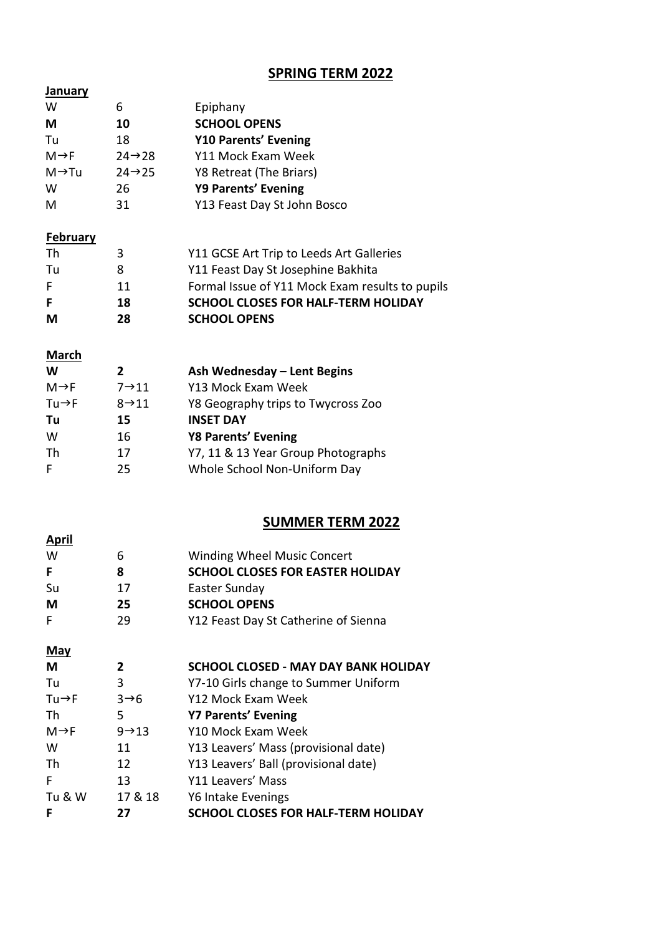### **SPRING TERM 2022**

| <b>January</b>     |                     |                                                 |
|--------------------|---------------------|-------------------------------------------------|
| W                  | 6                   | Epiphany                                        |
| М                  | 10                  | <b>SCHOOL OPENS</b>                             |
| Tu                 | 18                  | <b>Y10 Parents' Evening</b>                     |
| $M \rightarrow F$  | $24 \rightarrow 28$ | Y11 Mock Exam Week                              |
| $M \rightarrow Tu$ | $24 \rightarrow 25$ | Y8 Retreat (The Briars)                         |
| W                  | 26                  | Y9 Parents' Evening                             |
| M                  | 31                  | Y13 Feast Day St John Bosco                     |
| <b>February</b>    |                     |                                                 |
| Th                 | 3                   | Y11 GCSE Art Trip to Leeds Art Galleries        |
| Tu                 | 8                   | Y11 Feast Day St Josephine Bakhita              |
| F                  | 11                  | Formal Issue of Y11 Mock Exam results to pupils |
| F                  | 18                  | <b>SCHOOL CLOSES FOR HALF-TERM HOLIDAY</b>      |
| М                  | 28                  | <b>SCHOOL OPENS</b>                             |
| <b>March</b>       |                     |                                                 |
| W                  | $\mathbf{2}$        | Ash Wednesday - Lent Begins                     |
| $M \rightarrow F$  | $7 \rightarrow 11$  | Y13 Mock Exam Week                              |
| $Tu \rightarrow F$ | $8 \rightarrow 11$  | Y8 Geography trips to Twycross Zoo              |
| Tu                 | 15                  | <b>INSET DAY</b>                                |
| W                  | 16                  | <b>Y8 Parents' Evening</b>                      |
|                    |                     |                                                 |

| Th | Y7, 11 & 13 Year Group Photographs |
|----|------------------------------------|
|    |                                    |

| 25 | Whole School Non-Uniform Day |
|----|------------------------------|
|    |                              |

#### **SUMMER TERM 2022**

| <b>April</b> |    |                                         |
|--------------|----|-----------------------------------------|
| W            | 6  | <b>Winding Wheel Music Concert</b>      |
| F            | 8  | <b>SCHOOL CLOSES FOR EASTER HOLIDAY</b> |
| Su           | 17 | Easter Sunday                           |
| М            | 25 | <b>SCHOOL OPENS</b>                     |
|              | 29 | Y12 Feast Day St Catherine of Sienna    |

#### **May**

| M                  | 2                  | <b>SCHOOL CLOSED - MAY DAY BANK HOLIDAY</b> |
|--------------------|--------------------|---------------------------------------------|
| Tu                 | 3                  | Y7-10 Girls change to Summer Uniform        |
| $Tu \rightarrow F$ | $3\rightarrow 6$   | Y12 Mock Exam Week                          |
| Th                 | 5                  | <b>Y7 Parents' Evening</b>                  |
| M→F                | $9 \rightarrow 13$ | Y10 Mock Exam Week                          |
| W                  | 11                 | Y13 Leavers' Mass (provisional date)        |
| Th                 | 12                 | Y13 Leavers' Ball (provisional date)        |
| F                  | 13                 | Y11 Leavers' Mass                           |
| Tu & W             | 17 & 18            | Y6 Intake Evenings                          |
| F                  | 27                 | <b>SCHOOL CLOSES FOR HALF-TERM HOLIDAY</b>  |